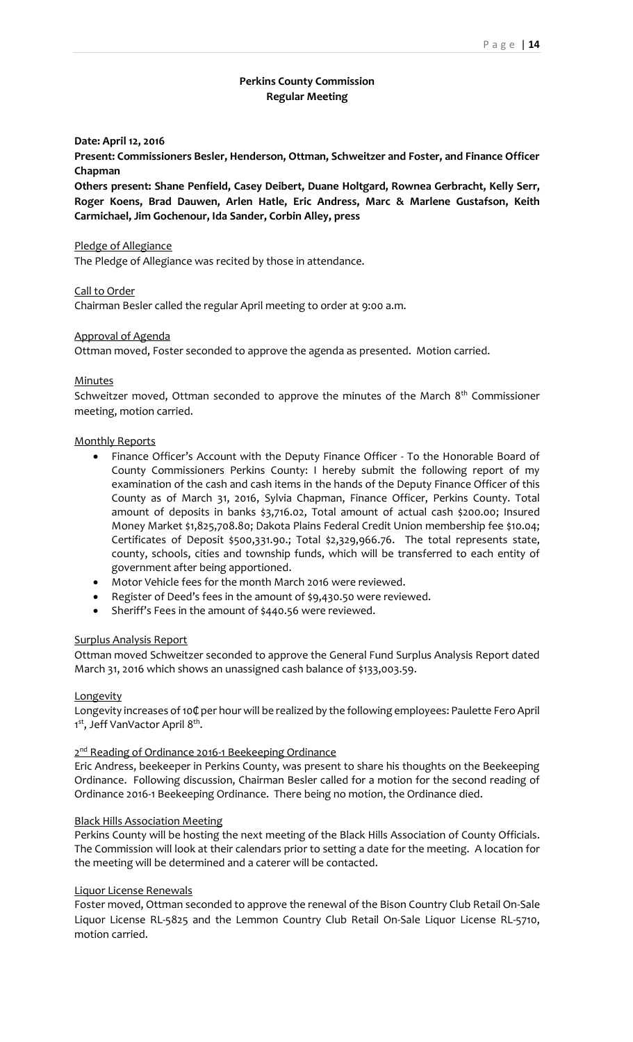## **Perkins County Commission Regular Meeting**

#### **Date: April 12, 2016**

**Present: Commissioners Besler, Henderson, Ottman, Schweitzer and Foster, and Finance Officer Chapman**

**Others present: Shane Penfield, Casey Deibert, Duane Holtgard, Rownea Gerbracht, Kelly Serr, Roger Koens, Brad Dauwen, Arlen Hatle, Eric Andress, Marc & Marlene Gustafson, Keith Carmichael, Jim Gochenour, Ida Sander, Corbin Alley, press**

### Pledge of Allegiance

The Pledge of Allegiance was recited by those in attendance.

Call to Order

Chairman Besler called the regular April meeting to order at 9:00 a.m.

### Approval of Agenda

Ottman moved, Foster seconded to approve the agenda as presented. Motion carried.

#### Minutes

Schweitzer moved, Ottman seconded to approve the minutes of the March 8<sup>th</sup> Commissioner meeting, motion carried.

#### Monthly Reports

- Finance Officer's Account with the Deputy Finance Officer To the Honorable Board of County Commissioners Perkins County: I hereby submit the following report of my examination of the cash and cash items in the hands of the Deputy Finance Officer of this County as of March 31, 2016, Sylvia Chapman, Finance Officer, Perkins County. Total amount of deposits in banks \$3,716.02, Total amount of actual cash \$200.00; Insured Money Market \$1,825,708.80; Dakota Plains Federal Credit Union membership fee \$10.04; Certificates of Deposit \$500,331.90.; Total \$2,329,966.76. The total represents state, county, schools, cities and township funds, which will be transferred to each entity of government after being apportioned.
- Motor Vehicle fees for the month March 2016 were reviewed.
- Register of Deed's fees in the amount of \$9,430.50 were reviewed.
- Sheriff's Fees in the amount of \$440.56 were reviewed.

### Surplus Analysis Report

Ottman moved Schweitzer seconded to approve the General Fund Surplus Analysis Report dated March 31, 2016 which shows an unassigned cash balance of \$133,003.59.

#### **Longevity**

Longevity increases of 10₵ per hour will be realized by the following employees: Paulette Fero April 1<sup>st</sup>, Jeff VanVactor April 8<sup>th</sup>.

### 2<sup>nd</sup> Reading of Ordinance 2016-1 Beekeeping Ordinance

Eric Andress, beekeeper in Perkins County, was present to share his thoughts on the Beekeeping Ordinance. Following discussion, Chairman Besler called for a motion for the second reading of Ordinance 2016-1 Beekeeping Ordinance. There being no motion, the Ordinance died.

#### Black Hills Association Meeting

Perkins County will be hosting the next meeting of the Black Hills Association of County Officials. The Commission will look at their calendars prior to setting a date for the meeting. A location for the meeting will be determined and a caterer will be contacted.

#### Liquor License Renewals

Foster moved, Ottman seconded to approve the renewal of the Bison Country Club Retail On-Sale Liquor License RL-5825 and the Lemmon Country Club Retail On-Sale Liquor License RL-5710, motion carried.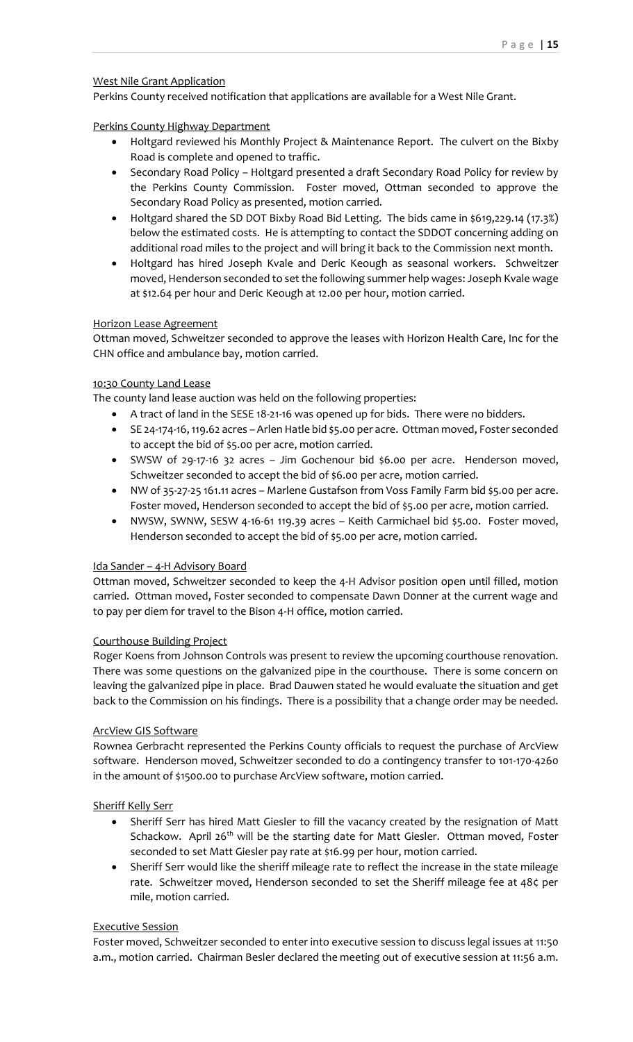# West Nile Grant Application

Perkins County received notification that applications are available for a West Nile Grant.

# Perkins County Highway Department

- Holtgard reviewed his Monthly Project & Maintenance Report. The culvert on the Bixby Road is complete and opened to traffic.
- Secondary Road Policy Holtgard presented a draft Secondary Road Policy for review by the Perkins County Commission. Foster moved, Ottman seconded to approve the Secondary Road Policy as presented, motion carried.
- Holtgard shared the SD DOT Bixby Road Bid Letting. The bids came in \$619,229.14 (17.3%) below the estimated costs. He is attempting to contact the SDDOT concerning adding on additional road miles to the project and will bring it back to the Commission next month.
- Holtgard has hired Joseph Kvale and Deric Keough as seasonal workers. Schweitzer moved, Henderson seconded to set the following summer help wages: Joseph Kvale wage at \$12.64 per hour and Deric Keough at 12.00 per hour, motion carried.

# Horizon Lease Agreement

Ottman moved, Schweitzer seconded to approve the leases with Horizon Health Care, Inc for the CHN office and ambulance bay, motion carried.

# 10:30 County Land Lease

The county land lease auction was held on the following properties:

- A tract of land in the SESE 18-21-16 was opened up for bids. There were no bidders.
- SE 24-174-16, 119.62 acres –Arlen Hatle bid \$5.00 per acre. Ottman moved, Foster seconded to accept the bid of \$5.00 per acre, motion carried.
- SWSW of 29-17-16 32 acres Jim Gochenour bid \$6.00 per acre. Henderson moved, Schweitzer seconded to accept the bid of \$6.00 per acre, motion carried.
- NW of 35-27-25 161.11 acres Marlene Gustafson from Voss Family Farm bid \$5.00 per acre. Foster moved, Henderson seconded to accept the bid of \$5.00 per acre, motion carried.
- NWSW, SWNW, SESW 4-16-61 119.39 acres Keith Carmichael bid \$5.00. Foster moved, Henderson seconded to accept the bid of \$5.00 per acre, motion carried.

## Ida Sander – 4-H Advisory Board

Ottman moved, Schweitzer seconded to keep the 4-H Advisor position open until filled, motion carried. Ottman moved, Foster seconded to compensate Dawn D0nner at the current wage and to pay per diem for travel to the Bison 4-H office, motion carried.

## Courthouse Building Project

Roger Koens from Johnson Controls was present to review the upcoming courthouse renovation. There was some questions on the galvanized pipe in the courthouse. There is some concern on leaving the galvanized pipe in place. Brad Dauwen stated he would evaluate the situation and get back to the Commission on his findings. There is a possibility that a change order may be needed.

## ArcView GIS Software

Rownea Gerbracht represented the Perkins County officials to request the purchase of ArcView software. Henderson moved, Schweitzer seconded to do a contingency transfer to 101-170-4260 in the amount of \$1500.00 to purchase ArcView software, motion carried.

# Sheriff Kelly Serr

- Sheriff Serr has hired Matt Giesler to fill the vacancy created by the resignation of Matt Schackow. April 26<sup>th</sup> will be the starting date for Matt Giesler. Ottman moved, Foster seconded to set Matt Giesler pay rate at \$16.99 per hour, motion carried.
- Sheriff Serr would like the sheriff mileage rate to reflect the increase in the state mileage rate. Schweitzer moved, Henderson seconded to set the Sheriff mileage fee at 48¢ per mile, motion carried.

# Executive Session

Foster moved, Schweitzer seconded to enter into executive session to discuss legal issues at 11:50 a.m., motion carried. Chairman Besler declared the meeting out of executive session at 11:56 a.m.